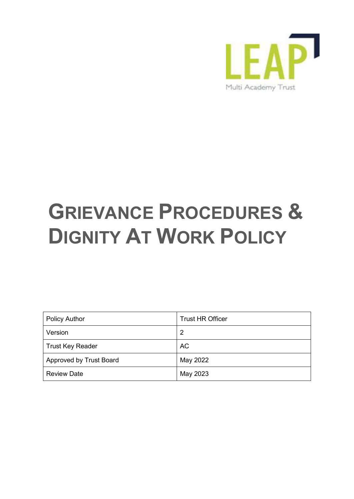

# **GRIEVANCE PROCEDURES & DIGNITY AT WORK POLICY**

| <b>Policy Author</b>    | <b>Trust HR Officer</b> |
|-------------------------|-------------------------|
| Version                 | 2                       |
| <b>Trust Key Reader</b> | <b>AC</b>               |
| Approved by Trust Board | May 2022                |
| <b>Review Date</b>      | May 2023                |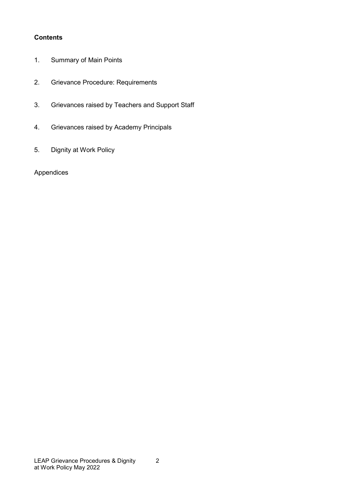## **Contents**

- 1. [Summary of Main Points](#page-1-0)
- 2. [Grievance Procedure: Requirements](#page-2-0)
- 3. [Grievances raised by Teachers and Support Staff](#page-3-0)
- 4. [Grievances raised by A](#page-3-1)cademy Principals
- 5. Dignity at Work Policy

## <span id="page-1-0"></span>Appendices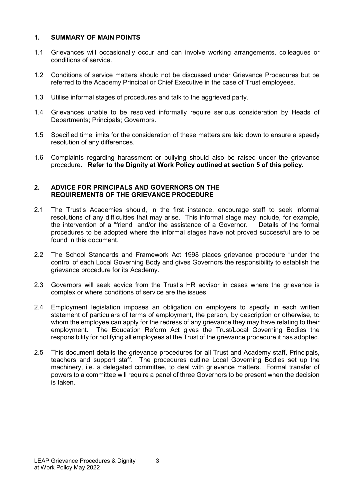## **1. SUMMARY OF MAIN POINTS**

- 1.1 Grievances will occasionally occur and can involve working arrangements, colleagues or conditions of service.
- 1.2 Conditions of service matters should not be discussed under Grievance Procedures but be referred to the Academy Principal or Chief Executive in the case of Trust employees.
- 1.3 Utilise informal stages of procedures and talk to the aggrieved party.
- 1.4 Grievances unable to be resolved informally require serious consideration by Heads of Departments; Principals; Governors.
- 1.5 Specified time limits for the consideration of these matters are laid down to ensure a speedy resolution of any differences.
- 1.6 Complaints regarding harassment or bullying should also be raised under the grievance procedure. **Refer to the Dignity at Work Policy outlined at section 5 of this policy.**

#### <span id="page-2-0"></span>**2. ADVICE FOR PRINCIPALS AND GOVERNORS ON THE REQUIREMENTS OF THE GRIEVANCE PROCEDURE**

- 2.1 The Trust's Academies should, in the first instance, encourage staff to seek informal resolutions of any difficulties that may arise. This informal stage may include, for example, the intervention of a "friend" and/or the assistance of a Governor. Details of the formal the intervention of a "friend" and/or the assistance of a Governor. procedures to be adopted where the informal stages have not proved successful are to be found in this document.
- 2.2 The School Standards and Framework Act 1998 places grievance procedure "under the control of each Local Governing Body and gives Governors the responsibility to establish the grievance procedure for its Academy.
- 2.3 Governors will seek advice from the Trust's HR advisor in cases where the grievance is complex or where conditions of service are the issues.
- 2.4 Employment legislation imposes an obligation on employers to specify in each written statement of particulars of terms of employment, the person, by description or otherwise, to whom the employee can apply for the redress of any grievance they may have relating to their employment. The Education Reform Act gives the Trust/Local Governing Bodies the responsibility for notifying all employees at the Trust of the grievance procedure it has adopted.
- 2.5 This document details the grievance procedures for all Trust and Academy staff, Principals, teachers and support staff. The procedures outline Local Governing Bodies set up the machinery, i.e. a delegated committee, to deal with grievance matters. Formal transfer of powers to a committee will require a panel of three Governors to be present when the decision is taken.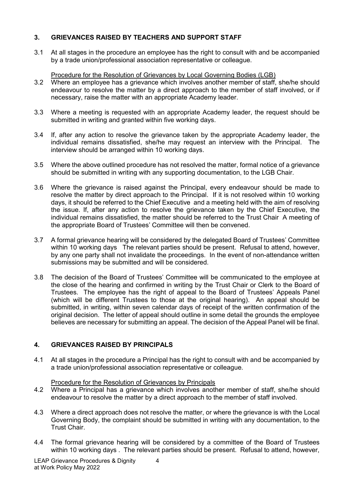# <span id="page-3-0"></span>**3. GRIEVANCES RAISED BY TEACHERS AND SUPPORT STAFF**

3.1 At all stages in the procedure an employee has the right to consult with and be accompanied by a trade union/professional association representative or colleague.

Procedure for the Resolution of Grievances by Local Governing Bodies (LGB)

- 3.2 Where an employee has a grievance which involves another member of staff, she/he should endeavour to resolve the matter by a direct approach to the member of staff involved, or if necessary, raise the matter with an appropriate Academy leader.
- 3.3 Where a meeting is requested with an appropriate Academy leader, the request should be submitted in writing and granted within five working days.
- 3.4 If, after any action to resolve the grievance taken by the appropriate Academy leader, the individual remains dissatisfied, she/he may request an interview with the Principal. The interview should be arranged within 10 working days.
- 3.5 Where the above outlined procedure has not resolved the matter, formal notice of a grievance should be submitted in writing with any supporting documentation, to the LGB Chair.
- 3.6 Where the grievance is raised against the Principal, every endeavour should be made to resolve the matter by direct approach to the Principal. If it is not resolved within 10 working days, it should be referred to the Chief Executive and a meeting held with the aim of resolving the issue. If, after any action to resolve the grievance taken by the Chief Executive, the individual remains dissatisfied, the matter should be referred to the Trust Chair A meeting of the appropriate Board of Trustees' Committee will then be convened.
- 3.7 A formal grievance hearing will be considered by the delegated Board of Trustees' Committee within 10 working days The relevant parties should be present. Refusal to attend, however, by any one party shall not invalidate the proceedings. In the event of non-attendance written submissions may be submitted and will be considered.
- 3.8 The decision of the Board of Trustees' Committee will be communicated to the employee at the close of the hearing and confirmed in writing by the Trust Chair or Clerk to the Board of Trustees. The employee has the right of appeal to the Board of Trustees' Appeals Panel (which will be different Trustees to those at the original hearing). An appeal should be submitted, in writing, within seven calendar days of receipt of the written confirmation of the original decision. The letter of appeal should outline in some detail the grounds the employee believes are necessary for submitting an appeal. The decision of the Appeal Panel will be final.

## <span id="page-3-1"></span>**4. GRIEVANCES RAISED BY PRINCIPALS**

4.1 At all stages in the procedure a Principal has the right to consult with and be accompanied by a trade union/professional association representative or colleague.

## Procedure for the Resolution of Grievances by Principals

- 4.2 Where a Principal has a grievance which involves another member of staff, she/he should endeavour to resolve the matter by a direct approach to the member of staff involved.
- 4.3 Where a direct approach does not resolve the matter, or where the grievance is with the Local Governing Body, the complaint should be submitted in writing with any documentation, to the Trust Chair.
- 4.4 The formal grievance hearing will be considered by a committee of the Board of Trustees within 10 working days . The relevant parties should be present. Refusal to attend, however,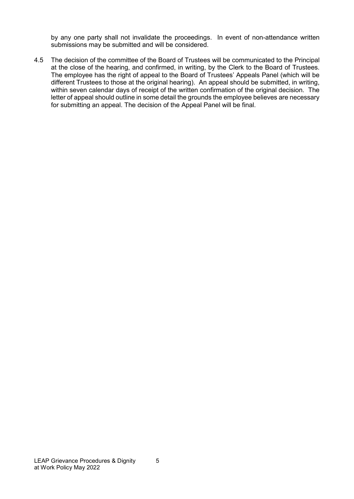by any one party shall not invalidate the proceedings. In event of non-attendance written submissions may be submitted and will be considered.

4.5 The decision of the committee of the Board of Trustees will be communicated to the Principal at the close of the hearing, and confirmed, in writing, by the Clerk to the Board of Trustees. The employee has the right of appeal to the Board of Trustees' Appeals Panel (which will be different Trustees to those at the original hearing). An appeal should be submitted, in writing, within seven calendar days of receipt of the written confirmation of the original decision. The letter of appeal should outline in some detail the grounds the employee believes are necessary for submitting an appeal. The decision of the Appeal Panel will be final.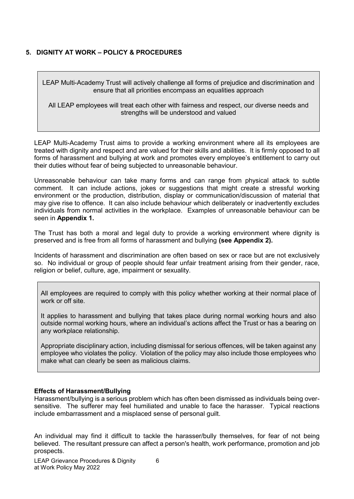# **5. DIGNITY AT WORK – POLICY & PROCEDURES**

LEAP Multi-Academy Trust will actively challenge all forms of prejudice and discrimination and ensure that all priorities encompass an equalities approach

All LEAP employees will treat each other with fairness and respect, our diverse needs and strengths will be understood and valued

LEAP Multi-Academy Trust aims to provide a working environment where all its employees are treated with dignity and respect and are valued for their skills and abilities. It is firmly opposed to all forms of harassment and bullying at work and promotes every employee's entitlement to carry out their duties without fear of being subjected to unreasonable behaviour.

Unreasonable behaviour can take many forms and can range from physical attack to subtle comment. It can include actions, jokes or suggestions that might create a stressful working environment or the production, distribution, display or communication/discussion of material that may give rise to offence. It can also include behaviour which deliberately or inadvertently excludes individuals from normal activities in the workplace. Examples of unreasonable behaviour can be seen in **Appendix 1.**

The Trust has both a moral and legal duty to provide a working environment where dignity is preserved and is free from all forms of harassment and bullying **(see Appendix 2).**

Incidents of harassment and discrimination are often based on sex or race but are not exclusively so. No individual or group of people should fear unfair treatment arising from their gender, race, religion or belief, culture, age, impairment or sexuality.

All employees are required to comply with this policy whether working at their normal place of work or off site.

It applies to harassment and bullying that takes place during normal working hours and also outside normal working hours, where an individual's actions affect the Trust or has a bearing on any workplace relationship.

Appropriate disciplinary action, including dismissal for serious offences, will be taken against any employee who violates the policy. Violation of the policy may also include those employees who make what can clearly be seen as malicious claims.

#### **Effects of Harassment/Bullying**

Harassment/bullying is a serious problem which has often been dismissed as individuals being oversensitive. The sufferer may feel humiliated and unable to face the harasser. Typical reactions include embarrassment and a misplaced sense of personal guilt.

An individual may find it difficult to tackle the harasser/bully themselves, for fear of not being believed. The resultant pressure can affect a person's health, work performance, promotion and job prospects.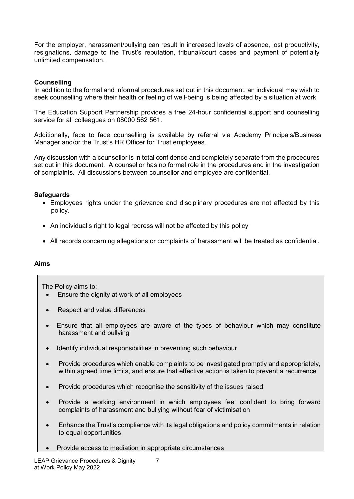For the employer, harassment/bullying can result in increased levels of absence, lost productivity, resignations, damage to the Trust's reputation, tribunal/court cases and payment of potentially unlimited compensation.

## **Counselling**

In addition to the formal and informal procedures set out in this document, an individual may wish to seek counselling where their health or feeling of well-being is being affected by a situation at work.

The Education Support Partnership provides a free 24-hour confidential support and counselling service for all colleagues on 08000 562 561.

Additionally, face to face counselling is available by referral via Academy Principals/Business Manager and/or the Trust's HR Officer for Trust employees.

Any discussion with a counsellor is in total confidence and completely separate from the procedures set out in this document. A counsellor has no formal role in the procedures and in the investigation of complaints. All discussions between counsellor and employee are confidential.

#### **Safeguards**

- Employees rights under the grievance and disciplinary procedures are not affected by this policy.
- An individual's right to legal redress will not be affected by this policy
- All records concerning allegations or complaints of harassment will be treated as confidential.

#### **Aims**

The Policy aims to:

- Ensure the dignity at work of all employees
- Respect and value differences
- Ensure that all employees are aware of the types of behaviour which may constitute harassment and bullying
- Identify individual responsibilities in preventing such behaviour
- Provide procedures which enable complaints to be investigated promptly and appropriately, within agreed time limits, and ensure that effective action is taken to prevent a recurrence
- Provide procedures which recognise the sensitivity of the issues raised
- Provide a working environment in which employees feel confident to bring forward complaints of harassment and bullying without fear of victimisation
- Enhance the Trust's compliance with its legal obligations and policy commitments in relation to equal opportunities
- Provide access to mediation in appropriate circumstances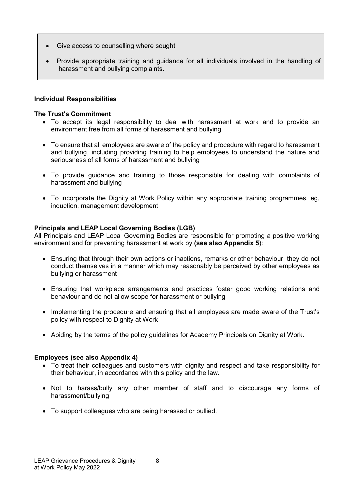- Give access to counselling where sought
- Provide appropriate training and guidance for all individuals involved in the handling of harassment and bullying complaints.

## **Individual Responsibilities**

#### **The Trust's Commitment**

- To accept its legal responsibility to deal with harassment at work and to provide an environment free from all forms of harassment and bullying
- To ensure that all employees are aware of the policy and procedure with regard to harassment and bullying, including providing training to help employees to understand the nature and seriousness of all forms of harassment and bullying
- To provide guidance and training to those responsible for dealing with complaints of harassment and bullying
- To incorporate the Dignity at Work Policy within any appropriate training programmes, eg, induction, management development.

#### **Principals and LEAP Local Governing Bodies (LGB)**

All Principals and LEAP Local Governing Bodies are responsible for promoting a positive working environment and for preventing harassment at work by **(see also Appendix 5**):

- Ensuring that through their own actions or inactions, remarks or other behaviour, they do not conduct themselves in a manner which may reasonably be perceived by other employees as bullying or harassment
- Ensuring that workplace arrangements and practices foster good working relations and behaviour and do not allow scope for harassment or bullying
- Implementing the procedure and ensuring that all employees are made aware of the Trust's policy with respect to Dignity at Work
- Abiding by the terms of the policy guidelines for Academy Principals on Dignity at Work.

#### **Employees (see also Appendix 4)**

- To treat their colleagues and customers with dignity and respect and take responsibility for their behaviour, in accordance with this policy and the law.
- Not to harass/bully any other member of staff and to discourage any forms of harassment/bullying
- To support colleagues who are being harassed or bullied.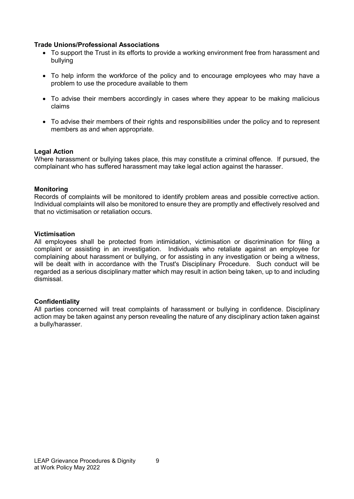#### **Trade Unions/Professional Associations**

- To support the Trust in its efforts to provide a working environment free from harassment and bullying
- To help inform the workforce of the policy and to encourage employees who may have a problem to use the procedure available to them
- To advise their members accordingly in cases where they appear to be making malicious claims
- To advise their members of their rights and responsibilities under the policy and to represent members as and when appropriate.

#### **Legal Action**

Where harassment or bullying takes place, this may constitute a criminal offence. If pursued, the complainant who has suffered harassment may take legal action against the harasser.

#### **Monitoring**

Records of complaints will be monitored to identify problem areas and possible corrective action. Individual complaints will also be monitored to ensure they are promptly and effectively resolved and that no victimisation or retaliation occurs.

#### **Victimisation**

All employees shall be protected from intimidation, victimisation or discrimination for filing a complaint or assisting in an investigation. Individuals who retaliate against an employee for complaining about harassment or bullying, or for assisting in any investigation or being a witness, will be dealt with in accordance with the Trust's Disciplinary Procedure. Such conduct will be regarded as a serious disciplinary matter which may result in action being taken, up to and including dismissal.

#### **Confidentiality**

All parties concerned will treat complaints of harassment or bullying in confidence. Disciplinary action may be taken against any person revealing the nature of any disciplinary action taken against a bully/harasser.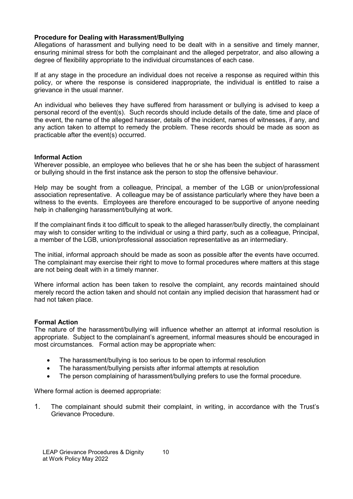## **Procedure for Dealing with Harassment/Bullying**

Allegations of harassment and bullying need to be dealt with in a sensitive and timely manner, ensuring minimal stress for both the complainant and the alleged perpetrator, and also allowing a degree of flexibility appropriate to the individual circumstances of each case.

If at any stage in the procedure an individual does not receive a response as required within this policy, or where the response is considered inappropriate, the individual is entitled to raise a grievance in the usual manner.

An individual who believes they have suffered from harassment or bullying is advised to keep a personal record of the event(s). Such records should include details of the date, time and place of the event, the name of the alleged harasser, details of the incident, names of witnesses, if any, and any action taken to attempt to remedy the problem. These records should be made as soon as practicable after the event(s) occurred.

#### **Informal Action**

Wherever possible, an employee who believes that he or she has been the subject of harassment or bullying should in the first instance ask the person to stop the offensive behaviour.

Help may be sought from a colleague, Principal, a member of the LGB or union/professional association representative. A colleague may be of assistance particularly where they have been a witness to the events. Employees are therefore encouraged to be supportive of anyone needing help in challenging harassment/bullying at work.

If the complainant finds it too difficult to speak to the alleged harasser/bully directly, the complainant may wish to consider writing to the individual or using a third party, such as a colleague, Principal, a member of the LGB, union/professional association representative as an intermediary.

The initial, informal approach should be made as soon as possible after the events have occurred. The complainant may exercise their right to move to formal procedures where matters at this stage are not being dealt with in a timely manner.

Where informal action has been taken to resolve the complaint, any records maintained should merely record the action taken and should not contain any implied decision that harassment had or had not taken place.

## **Formal Action**

The nature of the harassment/bullying will influence whether an attempt at informal resolution is appropriate. Subject to the complainant's agreement, informal measures should be encouraged in most circumstances. Formal action may be appropriate when:

- The harassment/bullying is too serious to be open to informal resolution
- The harassment/bullying persists after informal attempts at resolution
- The person complaining of harassment/bullying prefers to use the formal procedure.

Where formal action is deemed appropriate:

1. The complainant should submit their complaint, in writing, in accordance with the Trust's Grievance Procedure.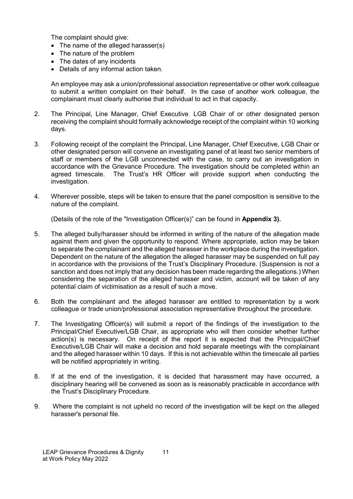The complaint should give:

- The name of the alleged harasser(s)
- The nature of the problem
- The dates of any incidents
- Details of any informal action taken.

An employee may ask a union/professional association representative or other work colleague to submit a written complaint on their behalf. In the case of another work colleague, the complainant must clearly authorise that individual to act in that capacity.

- 2. The Principal, Line Manager, Chief Executive, LGB Chair of or other designated person receiving the complaint should formally acknowledge receipt of the complaint within 10 working days.
- 3. Following receipt of the complaint the Principal, Line Manager, Chief Executive, LGB Chair or other designated person will convene an investigating panel of at least two senior members of staff or members of the LGB unconnected with the case, to carry out an investigation in accordance with the Grievance Procedure. The investigation should be completed within an agreed timescale. The Trust's HR Officer will provide support when conducting the investigation.
- 4. Wherever possible, steps will be taken to ensure that the panel composition is sensitive to the nature of the complaint.

(Details of the role of the "Investigation Officer(s)" can be found in **Appendix 3).**

- 5. The alleged bully/harasser should be informed in writing of the nature of the allegation made against them and given the opportunity to respond. Where appropriate, action may be taken to separate the complainant and the alleged harasser in the workplace during the investigation. Dependent on the nature of the allegation the alleged harasser may be suspended on full pay in accordance with the provisions of the Trust's Disciplinary Procedure. (Suspension is not a sanction and does not imply that any decision has been made regarding the allegations.) When considering the separation of the alleged harasser and victim, account will be taken of any potential claim of victimisation as a result of such a move.
- 6. Both the complainant and the alleged harasser are entitled to representation by a work colleague or trade union/professional association representative throughout the procedure.
- 7. The Investigating Officer(s) will submit a report of the findings of the investigation to the Principal/Chief Executive/LGB Chair, as appropriate who will then consider whether further action(s) is necessary. On receipt of the report it is expected that the Principal/Chief Executive/LGB Chair will make a decision and hold separate meetings with the complainant and the alleged harasser within 10 days. If this is not achievable within the timescale all parties will be notified appropriately in writing.
- 8. If at the end of the investigation, it is decided that harassment may have occurred, a disciplinary hearing will be convened as soon as is reasonably practicable in accordance with the Trust's Disciplinary Procedure.
- 9. Where the complaint is not upheld no record of the investigation will be kept on the alleged harasser's personal file.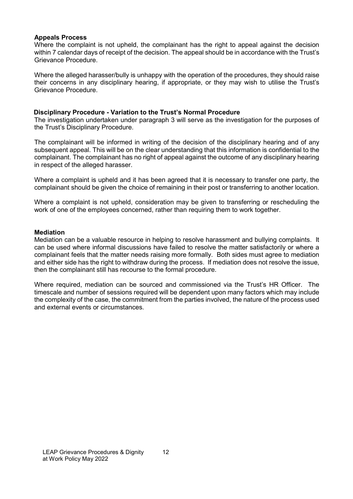#### **Appeals Process**

Where the complaint is not upheld, the complainant has the right to appeal against the decision within 7 calendar days of receipt of the decision. The appeal should be in accordance with the Trust's Grievance Procedure.

Where the alleged harasser/bully is unhappy with the operation of the procedures, they should raise their concerns in any disciplinary hearing, if appropriate, or they may wish to utilise the Trust's Grievance Procedure.

#### **Disciplinary Procedure - Variation to the Trust's Normal Procedure**

The investigation undertaken under paragraph 3 will serve as the investigation for the purposes of the Trust's Disciplinary Procedure.

The complainant will be informed in writing of the decision of the disciplinary hearing and of any subsequent appeal. This will be on the clear understanding that this information is confidential to the complainant. The complainant has no right of appeal against the outcome of any disciplinary hearing in respect of the alleged harasser.

Where a complaint is upheld and it has been agreed that it is necessary to transfer one party, the complainant should be given the choice of remaining in their post or transferring to another location.

Where a complaint is not upheld, consideration may be given to transferring or rescheduling the work of one of the employees concerned, rather than requiring them to work together.

#### **Mediation**

Mediation can be a valuable resource in helping to resolve harassment and bullying complaints. It can be used where informal discussions have failed to resolve the matter satisfactorily or where a complainant feels that the matter needs raising more formally. Both sides must agree to mediation and either side has the right to withdraw during the process. If mediation does not resolve the issue, then the complainant still has recourse to the formal procedure.

Where required, mediation can be sourced and commissioned via the Trust's HR Officer. The timescale and number of sessions required will be dependent upon many factors which may include the complexity of the case, the commitment from the parties involved, the nature of the process used and external events or circumstances.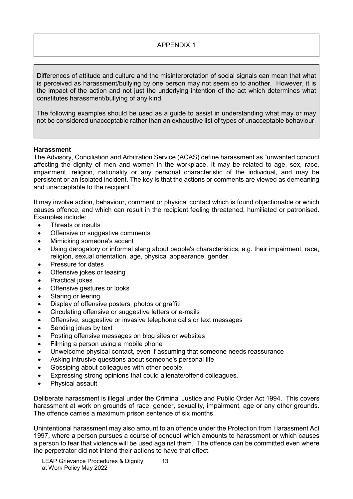Differences of attitude and culture and the misinterpretation of social signals can mean that what is perceived as harassment/bullying by one person may not seem so to another. However, it is the impact of the action and not just the underlying intention of the act which determines what constitutes harassment/bullying of any kind.

The following examples should be used as a guide to assist in understanding what may or may not be considered unacceptable rather than an exhaustive list of types of unacceptable behaviour.

#### **Harassment**

The Advisory, Conciliation and Arbitration Service (ACAS) define harassment as "unwanted conduct affecting the dignity of men and women in the workplace. It may be related to age, sex, race, impairment, religion, nationality or any personal characteristic of the individual, and may be persistent or an isolated incident. The key is that the actions or comments are viewed as demeaning and unacceptable to the recipient."

It may involve action, behaviour, comment or physical contact which is found objectionable or which causes offence, and which can result in the recipient feeling threatened, humiliated or patronised. Examples include:

- Threats or insults
- Offensive or suggestive comments
- Mimicking someone's accent
- Using derogatory or informal slang about people's characteristics, e.g. their impairment, race, religion, sexual orientation, age, physical appearance, gender,
- Pressure for dates
- Offensive jokes or teasing
- Practical jokes
- Offensive gestures or looks
- Staring or leering
- Display of offensive posters, photos or graffiti
- Circulating offensive or suggestive letters or e-mails
- Offensive, suggestive or invasive telephone calls or text messages
- Sending jokes by text
- Posting offensive messages on blog sites or websites
- Filming a person using a mobile phone
- Unwelcome physical contact, even if assuming that someone needs reassurance
- Asking intrusive questions about someone's personal life
- Gossiping about colleagues with other people.
- Expressing strong opinions that could alienate/offend colleagues.
- Physical assault

Deliberate harassment is illegal under the Criminal Justice and Public Order Act 1994. This covers harassment at work on grounds of race, gender, sexuality, impairment, age or any other grounds. The offence carries a maximum prison sentence of six months.

Unintentional harassment may also amount to an offence under the Protection from Harassment Act 1997, where a person pursues a course of conduct which amounts to harassment or which causes a person to fear that violence will be used against them. The offence can be committed even where the perpetrator did not intend their actions to have that effect.

LEAP Grievance Procedures & Dignity 13 at Work Policy May 2022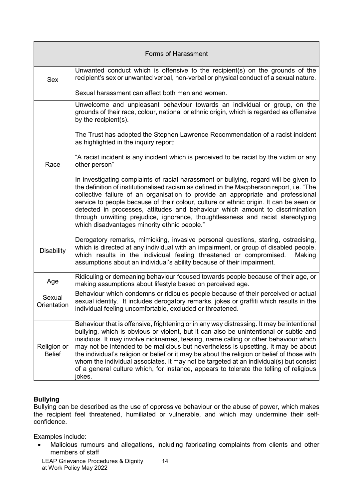| <b>Forms of Harassment</b>   |                                                                                                                                                                                                                                                                                                                                                                                                                                                                                                                                                                                                                                                              |
|------------------------------|--------------------------------------------------------------------------------------------------------------------------------------------------------------------------------------------------------------------------------------------------------------------------------------------------------------------------------------------------------------------------------------------------------------------------------------------------------------------------------------------------------------------------------------------------------------------------------------------------------------------------------------------------------------|
| Sex                          | Unwanted conduct which is offensive to the recipient(s) on the grounds of the<br>recipient's sex or unwanted verbal, non-verbal or physical conduct of a sexual nature.                                                                                                                                                                                                                                                                                                                                                                                                                                                                                      |
|                              | Sexual harassment can affect both men and women.                                                                                                                                                                                                                                                                                                                                                                                                                                                                                                                                                                                                             |
|                              | Unwelcome and unpleasant behaviour towards an individual or group, on the<br>grounds of their race, colour, national or ethnic origin, which is regarded as offensive<br>by the recipient(s).                                                                                                                                                                                                                                                                                                                                                                                                                                                                |
|                              | The Trust has adopted the Stephen Lawrence Recommendation of a racist incident<br>as highlighted in the inquiry report:                                                                                                                                                                                                                                                                                                                                                                                                                                                                                                                                      |
| Race                         | "A racist incident is any incident which is perceived to be racist by the victim or any<br>other person"                                                                                                                                                                                                                                                                                                                                                                                                                                                                                                                                                     |
|                              | In investigating complaints of racial harassment or bullying, regard will be given to<br>the definition of institutionalised racism as defined in the Macpherson report, i.e. "The<br>collective failure of an organisation to provide an appropriate and professional<br>service to people because of their colour, culture or ethnic origin. It can be seen or<br>detected in processes, attitudes and behaviour which amount to discrimination<br>through unwitting prejudice, ignorance, thoughtlessness and racist stereotyping<br>which disadvantages minority ethnic people."                                                                         |
| <b>Disability</b>            | Derogatory remarks, mimicking, invasive personal questions, staring, ostracising,<br>which is directed at any individual with an impairment, or group of disabled people,<br>which results in the individual feeling threatened or compromised.<br>Making<br>assumptions about an individual's ability because of their impairment.                                                                                                                                                                                                                                                                                                                          |
| Age                          | Ridiculing or demeaning behaviour focused towards people because of their age, or<br>making assumptions about lifestyle based on perceived age.                                                                                                                                                                                                                                                                                                                                                                                                                                                                                                              |
| Sexual<br>Orientation        | Behaviour which condemns or ridicules people because of their perceived or actual<br>sexual identity. It includes derogatory remarks, jokes or graffiti which results in the<br>individual feeling uncomfortable, excluded or threatened.                                                                                                                                                                                                                                                                                                                                                                                                                    |
| Religion or<br><b>Belief</b> | Behaviour that is offensive, frightening or in any way distressing. It may be intentional<br>bullying, which is obvious or violent, but it can also be unintentional or subtle and<br>insidious. It may involve nicknames, teasing, name calling or other behaviour which<br>may not be intended to be malicious but nevertheless is upsetting. It may be about<br>the individual's religion or belief or it may be about the religion or belief of those with<br>whom the individual associates. It may not be targeted at an individual(s) but consist<br>of a general culture which, for instance, appears to tolerate the telling of religious<br>jokes. |

#### **Bullying**

Bullying can be described as the use of oppressive behaviour or the abuse of power, which makes the recipient feel threatened, humiliated or vulnerable, and which may undermine their selfconfidence.

Examples include:

• Malicious rumours and allegations, including fabricating complaints from clients and other members of staff

LEAP Grievance Procedures & Dignity 14 at Work Policy May 2022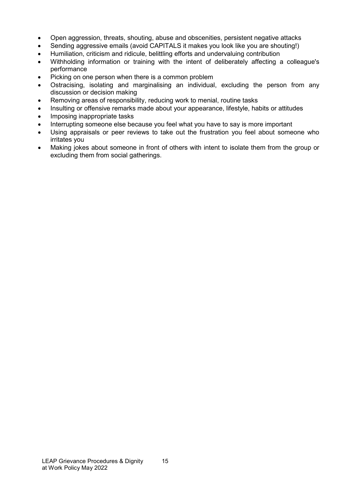- Open aggression, threats, shouting, abuse and obscenities, persistent negative attacks
- Sending aggressive emails (avoid CAPITALS it makes you look like you are shouting!)
- Humiliation, criticism and ridicule, belittling efforts and undervaluing contribution
- Withholding information or training with the intent of deliberately affecting a colleague's performance
- Picking on one person when there is a common problem
- Ostracising, isolating and marginalising an individual, excluding the person from any discussion or decision making
- Removing areas of responsibility, reducing work to menial, routine tasks
- Insulting or offensive remarks made about your appearance, lifestyle, habits or attitudes
- Imposing inappropriate tasks
- Interrupting someone else because you feel what you have to say is more important
- Using appraisals or peer reviews to take out the frustration you feel about someone who irritates you
- Making jokes about someone in front of others with intent to isolate them from the group or excluding them from social gatherings.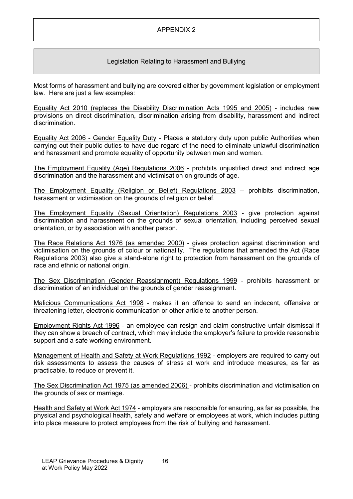## Legislation Relating to Harassment and Bullying

Most forms of harassment and bullying are covered either by government legislation or employment law. Here are just a few examples:

Equality Act 2010 (replaces the Disability Discrimination Acts 1995 and 2005) - includes new provisions on direct discrimination, discrimination arising from disability, harassment and indirect discrimination.

Equality Act 2006 - Gender Equality Duty - Places a statutory duty upon public Authorities when carrying out their public duties to have due regard of the need to eliminate unlawful discrimination and harassment and promote equality of opportunity between men and women.

The Employment Equality (Age) Regulations 2006 - prohibits unjustified direct and indirect age discrimination and the harassment and victimisation on grounds of age.

The Employment Equality (Religion or Belief) Regulations 2003 – prohibits discrimination, harassment or victimisation on the grounds of religion or belief.

The Employment Equality (Sexual Orientation) Regulations 2003 - give protection against discrimination and harassment on the grounds of sexual orientation, including perceived sexual orientation, or by association with another person.

The Race Relations Act 1976 (as amended 2000) - gives protection against discrimination and victimisation on the grounds of colour or nationality. The regulations that amended the Act (Race Regulations 2003) also give a stand-alone right to protection from harassment on the grounds of race and ethnic or national origin.

The Sex Discrimination (Gender Reassignment) Regulations 1999 - prohibits harassment or discrimination of an individual on the grounds of gender reassignment.

Malicious Communications Act 1998 - makes it an offence to send an indecent, offensive or threatening letter, electronic communication or other article to another person.

Employment Rights Act 1996 - an employee can resign and claim constructive unfair dismissal if they can show a breach of contract, which may include the employer's failure to provide reasonable support and a safe working environment.

Management of Health and Safety at Work Regulations 1992 - employers are required to carry out risk assessments to assess the causes of stress at work and introduce measures, as far as practicable, to reduce or prevent it.

The Sex Discrimination Act 1975 (as amended 2006) - prohibits discrimination and victimisation on the grounds of sex or marriage.

Health and Safety at Work Act 1974 - employers are responsible for ensuring, as far as possible, the physical and psychological health, safety and welfare or employees at work, which includes putting into place measure to protect employees from the risk of bullying and harassment.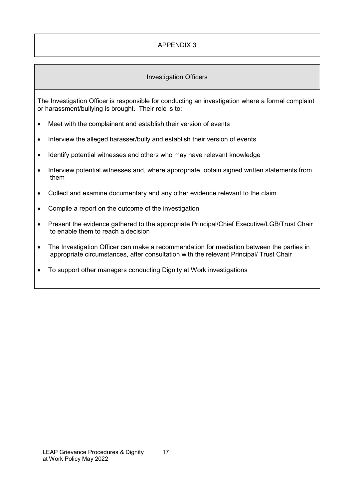# Investigation Officers

The Investigation Officer is responsible for conducting an investigation where a formal complaint or harassment/bullying is brought. Their role is to:

- Meet with the complainant and establish their version of events
- Interview the alleged harasser/bully and establish their version of events
- Identify potential witnesses and others who may have relevant knowledge
- Interview potential witnesses and, where appropriate, obtain signed written statements from them
- Collect and examine documentary and any other evidence relevant to the claim
- Compile a report on the outcome of the investigation
- Present the evidence gathered to the appropriate Principal/Chief Executive/LGB/Trust Chair to enable them to reach a decision
- The Investigation Officer can make a recommendation for mediation between the parties in appropriate circumstances, after consultation with the relevant Principal/ Trust Chair
- To support other managers conducting Dignity at Work investigations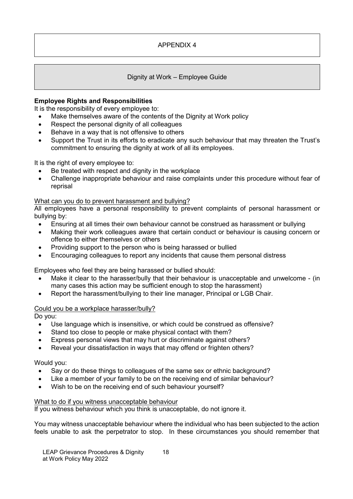## Dignity at Work – Employee Guide

## **Employee Rights and Responsibilities**

It is the responsibility of every employee to:

- Make themselves aware of the contents of the Dignity at Work policy
- Respect the personal dignity of all colleagues
- Behave in a way that is not offensive to others
- Support the Trust in its efforts to eradicate any such behaviour that may threaten the Trust's commitment to ensuring the dignity at work of all its employees.

It is the right of every employee to:

- Be treated with respect and dignity in the workplace
- Challenge inappropriate behaviour and raise complaints under this procedure without fear of reprisal

#### What can you do to prevent harassment and bullying?

All employees have a personal responsibility to prevent complaints of personal harassment or bullying by:

- Ensuring at all times their own behaviour cannot be construed as harassment or bullying
- Making their work colleagues aware that certain conduct or behaviour is causing concern or offence to either themselves or others
- Providing support to the person who is being harassed or bullied
- Encouraging colleagues to report any incidents that cause them personal distress

Employees who feel they are being harassed or bullied should:

- Make it clear to the harasser/bully that their behaviour is unacceptable and unwelcome (in many cases this action may be sufficient enough to stop the harassment)
- Report the harassment/bullying to their line manager, Principal or LGB Chair.

#### Could you be a workplace harasser/bully?

Do you:

- Use language which is insensitive, or which could be construed as offensive?
- Stand too close to people or make physical contact with them?
- Express personal views that may hurt or discriminate against others?
- Reveal your dissatisfaction in ways that may offend or frighten others?

Would you:

- Say or do these things to colleagues of the same sex or ethnic background?
- Like a member of your family to be on the receiving end of similar behaviour?
- Wish to be on the receiving end of such behaviour yourself?

#### What to do if you witness unacceptable behaviour

If you witness behaviour which you think is unacceptable, do not ignore it.

You may witness unacceptable behaviour where the individual who has been subjected to the action feels unable to ask the perpetrator to stop. In these circumstances you should remember that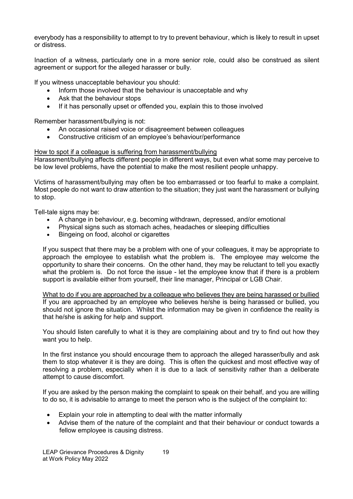everybody has a responsibility to attempt to try to prevent behaviour, which is likely to result in upset or distress.

Inaction of a witness, particularly one in a more senior role, could also be construed as silent agreement or support for the alleged harasser or bully.

If you witness unacceptable behaviour you should:

- Inform those involved that the behaviour is unacceptable and why
- Ask that the behaviour stops
- If it has personally upset or offended you, explain this to those involved

Remember harassment/bullying is not:

- An occasional raised voice or disagreement between colleagues
- Constructive criticism of an employee's behaviour/performance

#### How to spot if a colleague is suffering from harassment/bullying

Harassment/bullying affects different people in different ways, but even what some may perceive to be low level problems, have the potential to make the most resilient people unhappy.

Victims of harassment/bullying may often be too embarrassed or too fearful to make a complaint. Most people do not want to draw attention to the situation; they just want the harassment or bullying to stop.

Tell-tale signs may be:

- A change in behaviour, e.g. becoming withdrawn, depressed, and/or emotional
- Physical signs such as stomach aches, headaches or sleeping difficulties
- Bingeing on food, alcohol or cigarettes

If you suspect that there may be a problem with one of your colleagues, it may be appropriate to approach the employee to establish what the problem is. The employee may welcome the opportunity to share their concerns. On the other hand, they may be reluctant to tell you exactly what the problem is. Do not force the issue - let the employee know that if there is a problem support is available either from yourself, their line manager, Principal or LGB Chair.

What to do if you are approached by a colleague who believes they are being harassed or bullied If you are approached by an employee who believes he/she is being harassed or bullied, you should not ignore the situation. Whilst the information may be given in confidence the reality is that he/she is asking for help and support.

You should listen carefully to what it is they are complaining about and try to find out how they want you to help.

In the first instance you should encourage them to approach the alleged harasser/bully and ask them to stop whatever it is they are doing. This is often the quickest and most effective way of resolving a problem, especially when it is due to a lack of sensitivity rather than a deliberate attempt to cause discomfort.

If you are asked by the person making the complaint to speak on their behalf, and you are willing to do so, it is advisable to arrange to meet the person who is the subject of the complaint to:

- Explain your role in attempting to deal with the matter informally
- Advise them of the nature of the complaint and that their behaviour or conduct towards a fellow employee is causing distress.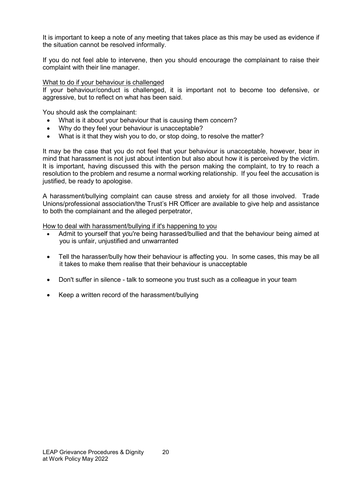It is important to keep a note of any meeting that takes place as this may be used as evidence if the situation cannot be resolved informally.

If you do not feel able to intervene, then you should encourage the complainant to raise their complaint with their line manager.

#### What to do if your behaviour is challenged

If your behaviour/conduct is challenged, it is important not to become too defensive, or aggressive, but to reflect on what has been said.

You should ask the complainant:

- What is it about your behaviour that is causing them concern?
- Why do they feel your behaviour is unacceptable?
- What is it that they wish you to do, or stop doing, to resolve the matter?

It may be the case that you do not feel that your behaviour is unacceptable, however, bear in mind that harassment is not just about intention but also about how it is perceived by the victim. It is important, having discussed this with the person making the complaint, to try to reach a resolution to the problem and resume a normal working relationship. If you feel the accusation is justified, be ready to apologise.

A harassment/bullying complaint can cause stress and anxiety for all those involved. Trade Unions/professional association/the Trust's HR Officer are available to give help and assistance to both the complainant and the alleged perpetrator,

How to deal with harassment/bullying if it's happening to you

- Admit to yourself that you're being harassed/bullied and that the behaviour being aimed at you is unfair, unjustified and unwarranted
- Tell the harasser/bully how their behaviour is affecting you. In some cases, this may be all it takes to make them realise that their behaviour is unacceptable
- Don't suffer in silence talk to someone you trust such as a colleague in your team
- Keep a written record of the harassment/bullying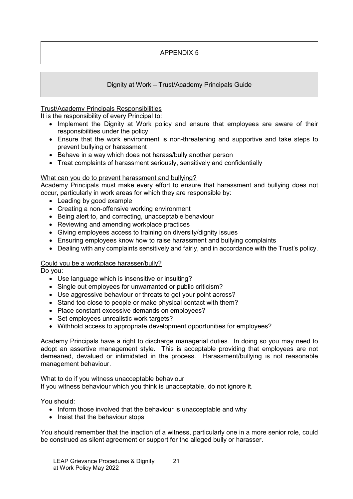## Dignity at Work – Trust/Academy Principals Guide

## Trust/Academy Principals Responsibilities

It is the responsibility of every Principal to:

- Implement the Dignity at Work policy and ensure that employees are aware of their responsibilities under the policy
- Ensure that the work environment is non-threatening and supportive and take steps to prevent bullying or harassment
- Behave in a way which does not harass/bully another person
- Treat complaints of harassment seriously, sensitively and confidentially

#### What can you do to prevent harassment and bullying?

Academy Principals must make every effort to ensure that harassment and bullying does not occur, particularly in work areas for which they are responsible by:

- Leading by good example
- Creating a non-offensive working environment
- Being alert to, and correcting, unacceptable behaviour
- Reviewing and amending workplace practices
- Giving employees access to training on diversity/dignity issues
- Ensuring employees know how to raise harassment and bullying complaints
- Dealing with any complaints sensitively and fairly, and in accordance with the Trust's policy.

#### Could you be a workplace harasser/bully?

Do you:

- Use language which is insensitive or insulting?
- Single out employees for unwarranted or public criticism?
- Use aggressive behaviour or threats to get your point across?
- Stand too close to people or make physical contact with them?
- Place constant excessive demands on employees?
- Set employees unrealistic work targets?
- Withhold access to appropriate development opportunities for employees?

Academy Principals have a right to discharge managerial duties. In doing so you may need to adopt an assertive management style. This is acceptable providing that employees are not demeaned, devalued or intimidated in the process. Harassment/bullying is not reasonable management behaviour.

#### What to do if you witness unacceptable behaviour

If you witness behaviour which you think is unacceptable, do not ignore it.

You should:

- Inform those involved that the behaviour is unacceptable and why
- Insist that the behaviour stops

You should remember that the inaction of a witness, particularly one in a more senior role, could be construed as silent agreement or support for the alleged bully or harasser.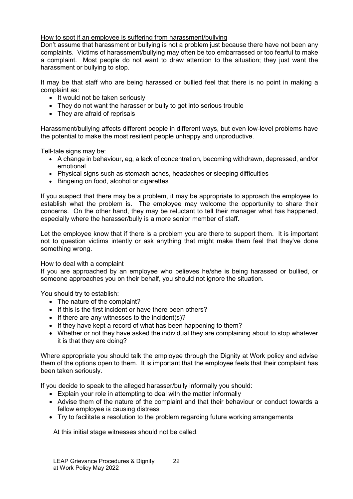## How to spot if an employee is suffering from harassment/bullying

Don't assume that harassment or bullying is not a problem just because there have not been any complaints. Victims of harassment/bullying may often be too embarrassed or too fearful to make a complaint. Most people do not want to draw attention to the situation; they just want the harassment or bullying to stop.

It may be that staff who are being harassed or bullied feel that there is no point in making a complaint as:

- It would not be taken seriously
- They do not want the harasser or bully to get into serious trouble
- They are afraid of reprisals

Harassment/bullying affects different people in different ways, but even low-level problems have the potential to make the most resilient people unhappy and unproductive.

Tell-tale signs may be:

- A change in behaviour, eg, a lack of concentration, becoming withdrawn, depressed, and/or emotional
- Physical signs such as stomach aches, headaches or sleeping difficulties
- Bingeing on food, alcohol or cigarettes

If you suspect that there may be a problem, it may be appropriate to approach the employee to establish what the problem is. The employee may welcome the opportunity to share their concerns. On the other hand, they may be reluctant to tell their manager what has happened, especially where the harasser/bully is a more senior member of staff.

Let the employee know that if there is a problem you are there to support them. It is important not to question victims intently or ask anything that might make them feel that they've done something wrong.

#### How to deal with a complaint

If you are approached by an employee who believes he/she is being harassed or bullied, or someone approaches you on their behalf, you should not ignore the situation.

You should try to establish:

- The nature of the complaint?
- If this is the first incident or have there been others?
- If there are any witnesses to the incident(s)?
- If they have kept a record of what has been happening to them?
- Whether or not they have asked the individual they are complaining about to stop whatever it is that they are doing?

Where appropriate you should talk the employee through the Dignity at Work policy and advise them of the options open to them. It is important that the employee feels that their complaint has been taken seriously.

If you decide to speak to the alleged harasser/bully informally you should:

- Explain your role in attempting to deal with the matter informally
- Advise them of the nature of the complaint and that their behaviour or conduct towards a fellow employee is causing distress
- Try to facilitate a resolution to the problem regarding future working arrangements

At this initial stage witnesses should not be called.